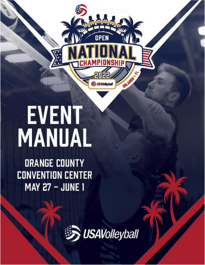# **EVENT** MANUAL

**ORANGE COUNTY CONVENTION CENTER MAY 27 - JUNE 1** 



OPEN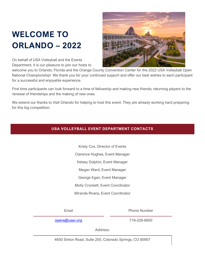# <span id="page-1-1"></span><span id="page-1-0"></span>**WELCOME TO ORLANDO – 2022**



On behalf of USA Volleyball and the Events Department, it is our pleasure to join our hosts to

welcome you to Orlando, Florida and the Orange County Convention Center for the 2022 USA Volleyball Open National Championship! We thank you for your continued support and offer our best wishes to each participant for a successful and enjoyable experience.

First time participants can look forward to a time of fellowship and making new friends; returning players to the renewal of friendships and the making of new ones.

<span id="page-1-2"></span>We extend our thanks to *Visit Orlando* for helping to host this event. They are already working hard preparing for this big competition.

# **USA VOLLEYBALL EVENT DEPARTMENT CONTACTS**

Kristy Cox, Director of Events Clarence Hughes, Event Manager Kelsey Dolphin, Event Manager Megan Ward, Event Manager George Egan, Event Manager Molly Crockett, Event Coordinator Miranda Rivera, Event Coordinator

Email **Email** Phone Number

[opens@usav.org](mailto:opens@usav.org) 719-228-6800

Address:

4650 Sinton Road, Suite 200, Colorado Springs, CO 80907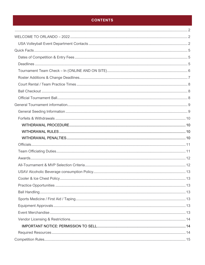# **CONTENTS**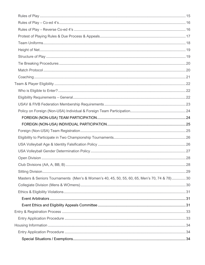| Masters & Seniors Tournaments (Men's & Women's 40, 45, 50, 55, 60, 65, Men's 70, 74 & 78) 30 |  |
|----------------------------------------------------------------------------------------------|--|
|                                                                                              |  |
|                                                                                              |  |
|                                                                                              |  |
|                                                                                              |  |
|                                                                                              |  |
|                                                                                              |  |
|                                                                                              |  |
|                                                                                              |  |
|                                                                                              |  |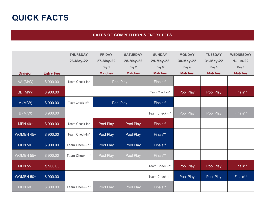# **QUICK FACTS**

## **DATES OF COMPETITION & ENTRY FEES**

<span id="page-4-1"></span><span id="page-4-0"></span>

|                      |                  | <b>THURSDAY</b> | <b>FRIDAY</b>  | <b>SATURDAY</b> | <b>SUNDAY</b>  | <b>MONDAY</b>  | <b>TUESDAY</b> | <b>WEDNESDAY</b> |
|----------------------|------------------|-----------------|----------------|-----------------|----------------|----------------|----------------|------------------|
|                      |                  | 26-May-22       | 27-May-22      | 28-May-22       | 29-May-22      | 30-May-22      | 31-May-22      | $1-Jun-22$       |
|                      |                  |                 | Day 1          | Day 2           | Day 3          | Day 4          | Day 5          | Day 6            |
| <b>Division</b>      | <b>Entry Fee</b> |                 | <b>Matches</b> | <b>Matches</b>  | <b>Matches</b> | <b>Matches</b> | <b>Matches</b> | <b>Matches</b>   |
| AA (M/W)             | \$900.00         | Team Check-In*  |                | Pool Play       | Finals**       |                |                |                  |
| BB (M/W)             | \$900.00         |                 |                |                 | Team Check-In* | Pool Play      | Pool Play      | Finals**         |
| $\overline{A}$ (M/W) | \$900.00         | Team Check-In** |                | Pool Play       | Finals**       |                |                |                  |
| B(M/W)               | \$900.00         |                 |                |                 | Team Check-In* | Pool Play      | Pool Play      | Finals**         |
| <b>MEN 40+</b>       | \$900.00         | Team Check-In*  | Pool Play      | Pool Play       | Finals**       |                |                |                  |
| WOMEN 45+            | \$900.00         | Team Check-In*  | Pool Play      | Pool Play       | Finals**       |                |                |                  |
| <b>MEN 50+</b>       | \$900.00         | Team Check-In*  | Pool Play      | Pool Play       | Finals**       |                |                |                  |
| WOMEN 55+            | \$900.00         | Team Check-In*  | Pool Play      | Pool Play       | Finals**       |                |                |                  |
| <b>MEN 55+</b>       | \$900.00         |                 |                |                 | Team Check-In* | Pool Play      | Pool Play      | Finals**         |
| WOMEN 50+            | \$900.00         |                 |                |                 | Team Check-In* | Pool Play      | Pool Play      | Finals**         |
| <b>MEN 60+</b>       | \$800.00         | Team Check-In*  | Pool Play      | Pool Play       | Finals**       |                |                |                  |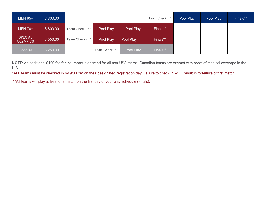| <b>MEN 65+</b>                    | \$800.00 |                |                |           | Team Check-In* | Pool Play | Pool Play | Finals** |
|-----------------------------------|----------|----------------|----------------|-----------|----------------|-----------|-----------|----------|
| <b>MEN 70+</b>                    | \$800.00 | Team Check-In* | Pool Play      | Pool Play | Finals**       |           |           |          |
| <b>SPECIAL</b><br><b>OLYMPICS</b> | \$550.00 | Team Check-In* | Pool Play      | Pool Play | Finals**       |           |           |          |
| Coed 4s                           | \$250.00 |                | Team Check-In* | Pool Play | Finals**       |           |           |          |

**NOTE**: An additional \$100 fee for insurance is charged for all non-USA teams. Canadian teams are exempt with proof of medical coverage in the U.S.

\*ALL teams must be checked in by 9:00 pm on their designated registration day. Failure to check in WILL result in forfeiture of first match.

\*\*All teams will play at least one match on the last day of your play schedule (Finals).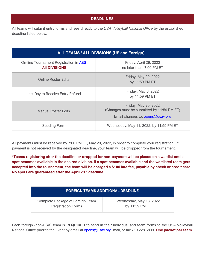#### **DEADLINES**

<span id="page-6-0"></span>All teams will submit entry forms and fees directly to the *USA Volleyball National Office* by the established deadline listed below.

| ALL TEAMS / ALL DIVISIONS (US and Foreign)                     |                                                                                                        |  |  |  |
|----------------------------------------------------------------|--------------------------------------------------------------------------------------------------------|--|--|--|
| On-line Tournament Registration in AES<br><b>All DIVISIONS</b> | Friday, April 29, 2022<br>no later than, 7:00 PM ET                                                    |  |  |  |
| <b>Online Roster Edits</b>                                     | Friday, May 20, 2022<br>by 11:59 PM ET                                                                 |  |  |  |
| Last Day to Receive Entry Refund                               | Friday, May 6, 2022<br>by 11:59 PM ET                                                                  |  |  |  |
| <b>Manual Roster Edits</b>                                     | Friday, May 20, 2022<br>(Changes must be submitted by 11:59 PM ET)<br>Email changes to: opens@usav.org |  |  |  |
| Seeding Form                                                   | Wednesday, May 11, 2022, by 11:59 PM ET                                                                |  |  |  |

All payments must be received by 7:00 PM ET, May 20, 2022, in order to complete your registration. If payment is not received by the designated deadline, your team will be dropped from the tournament.

**\*Teams registering after the deadline or dropped for non-payment will be placed on a waitlist until a spot becomes available in the desired division. If a spot becomes available and the waitlisted team gets accepted into the tournament, the team will be charged a \$100 late fee, payable by check or credit card. No spots are guaranteed after the April 29nd deadline.** 

# **FOREIGN TEAMS ADDITIONAL DEADLINE**

Complete Package of Foreign Team Registration Forms

Wednesday, May 18, 2022 by 11:59 PM ET

Each foreign (non-USA) team is **REQUIRED** to send in their individual and team forms to the USA Volleyball National Office prior to the Event by email at **opens@usav.org**, mail, or fax 719.228.6899. **One packet per team.**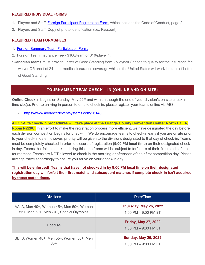#### **REQUIRED INDIVIDUAL FORMS**

- 1. Players and Staff: [Foreign Participant Registration Form,](https://usavolleyball.org/wp-content/uploads/2021/08/2022-Foreign-Participant-Registration-Form-updated-logo.pdf) which includes the Code of Conduct, page 2.
- 2. Players and Staff: Copy of photo identification (i.e., Passport).

#### **REQUIRED TEAM FORMS/FEES**

- 1. [Foreign Summary Team Participation Form.](https://usavolleyball.org/wp-content/uploads/2021/08/2022-Foreign-Summary-Form-Team-Participation-updated-logo.pdf)
- 2. Foreign Team Insurance Fee \$100/team or \$10/player \*.

\***Canadian teams** must provide Letter of Good Standing from Volleyball Canada to qualify for the insurance fee waiver OR proof of 24-hour medical insurance coverage while in the United States will work in place of Letter of Good Standing.

# **TOURNAMENT TEAM CHECK – IN (ONLINE AND ON SITE)**

<span id="page-7-0"></span>**Online Check** in begins on Sunday, May 22<sup>nd</sup> and will run though the end of your division's on-site check in time slot(s). Prior to arriving in person to on-site check in, please register your teams online via AES.

- <https://www.advancedeventsystems.com/26148>

**All On-Site check-in procedures will take place at the Orange County Convention Center North Hall A, Room N220C.** In an effort to make the registration process more efficient, we have designated the day before each division competition begins for check-in. We do encourage teams to check-in early if you are onsite prior to your check-in date, however, priority will be given to the divisions designated to that day of check-in. Teams must be completely checked in prior to closure of registration **(9:00 PM local time)** on their designated checkin day. Teams that fail to check-in during this time frame will be subject to forfeiture of their first match of the tournament. Teams are NOT allowed to check in the morning or afternoon of their first competition day. Please arrange travel accordingly to ensure you arrive on your check-in day.

**This will be enforced! Teams that have not checked in by 9:00 PM local time on their designated registration day will forfeit their first match and subsequent matches if complete check-in isn't acquired by those match times.**

| <b>Divisions</b>                          | Date/Time                                               |
|-------------------------------------------|---------------------------------------------------------|
| AA, A, Men 40+, Women 45+, Men 50+, Women | Thursday, May 26, 2022                                  |
| 55+, Men 60+, Men 70+, Special Olympics   | 1:00 PM $-$ 9:00 PM ET                                  |
| Coed 4s                                   | <b>Friday, May 27, 2022</b><br>$1:00$ PM $-$ 9:00 PM ET |
| BB, B, Women 40+, Men 55+, Women 50+, Men | <b>Sunday, May 29, 2022</b>                             |
| $65+$                                     | 1:00 PM $-$ 9:00 PM ET                                  |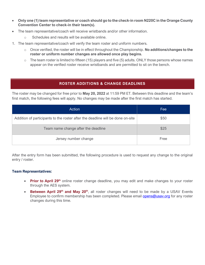- **Only one (1) team representative or coach should go to the check-in room N220C in the Orange County Convention Center to check-in their team(s).**
- The team representative/coach will receive wristbands and/or other information.
	- o Schedules and results will be available online.
- 1. The team representative/coach will verify the team roster and uniform numbers.
	- o Once verified, the roster will be in effect throughout the Championship. **No additions/changes to the roster or uniform number changes are allowed once play begins.**
	- $\circ$  The team roster is limited to fifteen (15) players and five (5) adults. ONLY those persons whose names appear on the verified roster receive wristbands and are permitted to sit on the bench.

# **ROSTER ADDITIONS & CHANGE DEADLINES**

<span id="page-8-0"></span>The roster may be changed for free prior to **May 20, 2022** at 11:59 PM ET. Between this deadline and the team's first match, the following fees will apply. No changes may be made after the first match has started.

| Action                                                                         | Fee  |
|--------------------------------------------------------------------------------|------|
| Addition of participants to the roster after the deadline will be done on-site | \$50 |
| Team name change after the deadline                                            | \$25 |
| Jersey number change                                                           | Free |

After the entry form has been submitted, the following procedure is used to request any change to the original entry / roster.

#### **Team Representatives:**

- **Prior to April 29<sup>th</sup> online roster change deadline, you may edit and make changes to your roster** through the AES system.
- **Between April 29<sup>th</sup> and May 20<sup>th</sup>**, all roster changes will need to be made by a USAV Events Employee to confirm membership has been completed. Please email [opens@usav.org](mailto:opens@usav.org) for any roster changes during this time.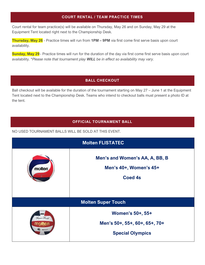## **COURT RENTAL / TEAM PRACTICE TIMES**

<span id="page-9-0"></span>Court rental for team practice(s) will be available on Thursday, May 26 and on Sunday, May 29 at the Equipment Tent located right next to the Championship Desk.

**Thursday, May 26** - Practice times will run from **1PM – 9PM** via first come first serve basis upon court availability.

**Sunday, May 29** - Practice times will run for the duration of the day via first come first serve basis upon court availability. *\*Please note that tournament play WILL be in effect so availability may vary.* 

### **BALL CHECKOUT**

<span id="page-9-1"></span>Ball checkout will be available for the duration of the tournament starting on May 27 – June 1 at the Equipment Tent located next to the Championship Desk. Teams who intend to checkout balls must present a photo ID at the tent.

# **OFFICIAL TOURNAMENT BALL**

#### <span id="page-9-2"></span>NO USED TOURNAMENT BALLS WILL BE SOLD AT THIS EVENT.

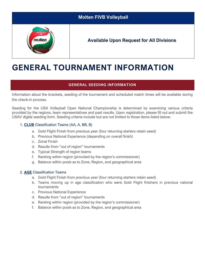| <b>Molten FIVB Volleyball</b> |                                                 |  |  |
|-------------------------------|-------------------------------------------------|--|--|
| 5000<br>molten                | <b>Available Upon Request for All Divisions</b> |  |  |

# <span id="page-10-0"></span>**GENERAL TOURNAMENT INFORMATION**

# **GENERAL SEEDING INFORMATION**

<span id="page-10-1"></span>Information about the brackets, seeding of the tournament and scheduled match times will be available during the check-in process.

Seeding for the USA Volleyball Open National Championship is determined by examining various criteria provided by the regions, team representatives and past results. Upon registration, please fill out and submit the USAV digital seeding form. Seeding criteria include but are not limited to those items listed below:

#### 1. **CLUB** Classification Teams (AA, A, BB, B)

- a. Gold Flight Finish from previous year (four returning starters retain seed)
- b. Previous National Experience (depending on overall finish)
- c. Zonal Finish
- d. Results from "out of region" tournaments
- e. Typical Strength of region teams
- f. Ranking within region (provided by the region's commissioner)
- g. Balance within pools as to Zone, Region, and geographical area

#### 2. **AGE** Classification Teams

- a. Gold Flight Finish from previous year (four returning starters retain seed)
- b. Teams moving up in age classification who were Gold Flight finishers in previous national tournaments
- c. Previous National Experience
- d. Results from "out of region" tournaments
- e. Ranking within region (provided by the region's commissioner)
- f. Balance within pools as to Zone, Region, and geographical area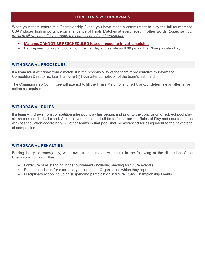#### **FORFEITS & WITHDRAWALS**

<span id="page-11-0"></span>When your team enters this Championship Event, you have made a commitment to play the full tournament. USAV places high importance on attendance of Finals Matches at every level. In other words: *Schedule your travel to allow competition through the completion of the tournament.* 

- **Matches CANNOT BE RESCHEDULED to accommodate travel schedules.**
- Be prepared to play at 8:00 am on the first day and as late as 9:00 pm on the Championship Day.

#### <span id="page-11-1"></span>**WITHDRAWAL PROCEDURE**

If a team must withdraw from a match, it is the responsibility of the team representative to inform the Competition Director no later than **one (1) hour** after completion of the team's last match.

The Championship Committee will attempt to fill the Finals Match of any flight, and/or determine an alternative action as required.

#### <span id="page-11-2"></span>**WITHDRAWAL RULES**

If a team withdraws from competition after pool play has begun, and prior to the conclusion of subject pool play, all match records shall stand. All un-played matches shall be forfeited per the Rules of Play and counted in the win-loss tabulation accordingly. All other teams in that pool shall be advanced for assignment to the next stage of competition.

#### <span id="page-11-3"></span>**WITHDRAWAL PENALTIES**

Barring injury or emergency, withdrawal from a match will result in the following at the discretion of the Championship Committee:

- Forfeiture of all standing in the tournament (including seeding for future events)
- Recommendation for disciplinary action to the Organization which they represent
- Disciplinary action including suspending participation in future USAV Championship Events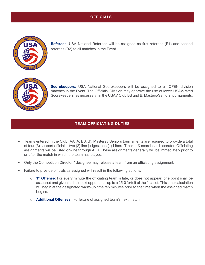# **OFFICIALS**

<span id="page-12-0"></span>

**Referees:** USA National Referees will be assigned as first referees (R1) and second referees (R2) to all matches in the Event.



**Scorekeepers:** USA National Scorekeepers will be assigned to all OPEN division matches in the Event. The Officials' Division may approve the use of lower USAV-rated Scorekeepers, as necessary, in the USAV Club BB and B, Masters/Seniors tournaments.

#### **TEAM OFFICIATING DUTIES**

- <span id="page-12-1"></span>• Teams entered in the Club (AA, A, BB, B), Masters / Seniors tournaments are required to provide a total of four (3) support officials: two (2) line judges, one (1) Libero Tracker & scoreboard operator. Officiating assignments will be listed on-line through AES. These assignments generally will be immediately prior to or after the match in which the team has played.
- Only the Competition Director / designee may release a team from an officiating assignment.
- Failure to provide officials as assigned will result in the following actions:
	- o **1 st Offense**: For every minute the officiating team is late, or does not appear, one point shall be assessed and given to their next opponent – up to a 25-0 forfeit of the first set. This time calculation will begin at the designated warm-up time ten minutes prior to the time when the assigned match begins.
	- o **Additional Offenses**: Forfeiture of assigned team's next match.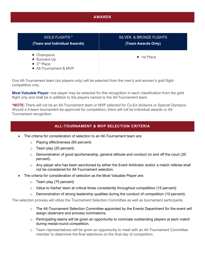#### **AWARDS**

<span id="page-13-0"></span>

| <b>GOLD FLIGHTS *</b>                                                                        | <b>SILVER, &amp; BRONZE FLIGHTS</b> |
|----------------------------------------------------------------------------------------------|-------------------------------------|
| (Team and Individual Awards)                                                                 | (Team Awards Only)                  |
| $\star$ Champions<br>★ Runners-Up<br>$\star$ 3 <sup>rd</sup> Place<br>★ All-Tournament & MVP | $\star$ 1st Place                   |

One All-Tournament team (six players only) will be selected from the men's and women's gold flight competition only.

**Most Valuable Player**: one player may be selected for this recognition in each classification from the gold flight only and shall be in addition to the players named to the All-Tournament team.

**\*NOTE:** There will not be an All-Tournament team or MVP selected for Co-Ed divisions or Special Olympics. Should a 4-team tournament be approved for competition, there will not be individual awards or All-Tournament recognition.

#### **ALL-TOURNAMENT & MVP SELECTION CRITERIA**

- <span id="page-13-1"></span>• The criteria for consideration of selection to an All-Tournament team are:
	- o Playing effectiveness (60 percent)
	- $\circ$  Team play (20 percent)
	- o Demonstration of good sportsmanship, general attitude and conduct on and off the court (20 percent).
	- $\circ$  Any player who has been sanctioned by either the Event Arbitrator and/or a match referee shall not be considered for All-Tournament selection.
- The criteria for consideration of selection as the Most Valuable Player are:
	- o Team play (75 percent)
	- $\circ$  Value to his/her team at critical times consistently throughout competition (15 percent)
	- $\circ$  Demonstration of strong leadership qualities during the conduct of competition (10 percent).

The selection process will utilize the Tournament Selection Committee as well as tournament participants.

- o The All-Tournament Selection Committee appointed by the Events Department for the event will assign observers and process nominations.
- o Participating teams will be given an opportunity to nominate outstanding players at each match during medal-round competition.
- o Team representatives will be given an opportunity to meet with an All-Tournament Committee member to determine the final selections on the final day of competition.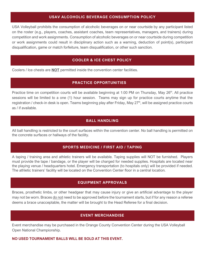#### **USAV ALCOHOLIC BEVERAGE CONSUMPTION POLICY**

<span id="page-14-0"></span>USA Volleyball prohibits the consumption of alcoholic beverages on or near courtside by any participant listed on the roster (e.g., players, coaches, assistant coaches, team representatives, managers, and trainers) during competition and work assignments. Consumption of alcoholic beverages on or near courtside during competition or work assignments could result in disciplinary action such as a warning, deduction of point(s), participant disqualification, game or match forfeiture, team disqualification, or other such sanction.

#### **COOLER & ICE CHEST POLICY**

<span id="page-14-2"></span><span id="page-14-1"></span>Coolers / Ice chests are **NOT** permitted inside the convention center facilities.

#### **PRACTICE OPPORTUNITIES**

Practice time on competition courts will be available beginning at 1:00 PM on Thursday, May 26<sup>th</sup>. All practice sessions will be limited to a one (1) hour session. Teams may sign up for practice courts anytime that the registration / check-in desk is open. Teams beginning play after Friday, May 27<sup>th</sup>, will be assigned practice courts as / if available.

### **BALL HANDLING**

<span id="page-14-4"></span><span id="page-14-3"></span>All ball handling is restricted to the court surfaces within the convention center. No ball handling is permitted on the concrete surfaces or hallways of the facility.

#### **SPORTS MEDICINE / FIRST AID / TAPING**

A taping / training area and athletic trainers will be available. Taping supplies will NOT be furnished. Players must provide the tape / bandage, or the player will be charged for needed supplies. Hospitals are located near the playing venue / headquarters hotel. Emergency transportation (to hospitals only) will be provided if needed. The athletic trainers' facility will be located on the Convention Center floor in a central location.

#### **EQUIPMENT APPROVALS**

<span id="page-14-5"></span>Braces, prosthetic limbs, or other headgear that may cause injury or give an artificial advantage to the player may not be worn. Braces do not need to be approved before the tournament starts, but if for any reason a referee deems a brace unacceptable, the matter will be brought to the Head Referee for a final decision.

# **EVENT MERCHANDISE**

<span id="page-14-6"></span>Event merchandise may be purchased in the Orange County Convention Center during the USA Volleyball Open National Championship.

#### **NO USED TOURNAMENT BALLS WILL BE SOLD AT THIS EVENT.**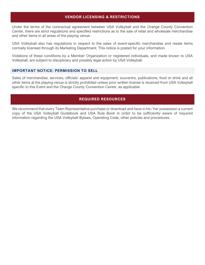#### **VENDOR LICENSING & RESTRICTIONS**

<span id="page-15-0"></span>Under the terms of the contractual agreement between USA Volleyball and the Orange County Convention Center, there are strict regulations and specified restrictions as to the sale of retail and wholesale merchandise and other items in all areas of the playing venue.

USA Volleyball also has regulations in respect to the sales of event-specific merchandise and resale items normally licensed through its Marketing Department. This notice is posted for your information.

Violations of these conditions by a Member Organization or registered individuals, and made known to USA Volleyball, are subject to disciplinary and possibly legal action by USA Volleyball.

#### <span id="page-15-1"></span>**IMPORTANT NOTICE: PERMISSION TO SELL**

Sales of merchandise, services, officials' apparel and equipment, souvenirs, publications, food or drink and all other items at the playing venue is strictly prohibited unless prior written license is received from USA Volleyball specific to this Event and the Orange County Convention Center, as applicable.

### **REQUIRED RESOURCES**

<span id="page-15-2"></span>We recommend that every Team Representative purchase or download and have in his / her possession a current copy of the USA Volleyball Guidebook and USA Rule Book in order to be sufficiently aware of required information regarding the USA Volleyball Bylaws, Operating Code, other policies and procedures.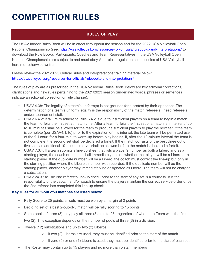# <span id="page-16-0"></span>**COMPETITION RULES**

# **RULES OF PLAY**

<span id="page-16-1"></span>The USAV Indoor Rules Book will be in effect throughout the season and for the 2022 USA Volleyball Open National Championship (see: <https://usavolleyball.org/resources-for-officials/rulebooks-and-interpretations/> to download the Rule Book). Participants, Coaches and Team Representatives in the USA Volleyball Open National Championship are subject to and must obey ALL rules, regulations and policies of USA Volleyball herein or otherwise written.

Please review the 2021-2023 Critical Rules and Interpretations training material below: <https://usavolleyball.org/resources-for-officials/rulebooks-and-interpretations/>

The rules of play are as prescribed in the USA Volleyball Rules Book. Below are key editorial corrections, clarifications and new rules pertaining to the 2021/2023 season (underlined words, phrases or sentences indicate an editorial correction or rule change).

- USAV 4.3b: The legality of a team's uniform(s) is not grounds for a protest by their opponent. The determination of a team's uniform legality is the responsibility of the match referee(s), head referee(s), and/or tournament staff.
- USAV 6.4.2: If failure to adhere to Rule 6.4.2 is due to insufficient players on a team to begin a match, the team forfeits the first set at match time. After a team forfeits the first set of a match, an interval of up to 10 minutes shall be allowed for the team to produce sufficient players to play the next set. If the team is complete (per USAV4.1.1c) prior to the expiration of this interval, the late team will be permitted use of the full court for a four-minute warm-up before play begins. If, after the 10-minute interval the team is not complete, the second set shall be declared a forfeit. If the match consists of the best three out of five sets, an additional 10-minute interval shall be allowed before the match is declared a forfeit.
- USAV 7.3.4: If a team submits a line-up sheet that lists a player's number as both a Libero and as a starting player, the coach or captain shall immediately decide whether that player will be a Libero or a starting player. If the duplicate number will be a Libero, the coach must correct the line-up but only in the starting position where the Libero's number was recorded. If the duplicate number will be the starting player, another player may immediately be designated as Libero. The team will not be charged a substitution.
- USAV 24.3.1a: The 2nd referee's line-up check prior to the start of any set is a courtesy. It is the responsibility of the captain and/or coach to ensure the players maintain the correct service order once the 2nd referee has completed this line-up check.

# **Key rules for all 2-out of-3 matches are listed below:**

- Rally Score to 25 points, all sets must be won by a margin of 2 points
- Deciding set of a best 2-out-of-3 match will be rally scoring to 15 points
- Some pools of three (3) may play all three (3) sets to 25, regardless of whether a Team wins the first
	- two (2). This exception depends on the number of pools of three (3) in a division.
- Twelve (12) substitutions and up to two (2) Liberos
	- $\circ$  If two (2) Liberos are used, they must be identified prior to the start of the match
	- $\circ$  If zero (0) or one (1) Libero is used, they must be identified prior to the start of each set
- The Roster may contain up to 15 players and no more than 5 staff members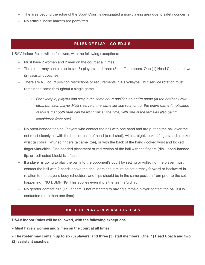- The area beyond the edge of the Sport Court is designated a non-playing area due to safety concerns
- No artificial noise makers are permitted

#### **RULES OF PLAY – CO-ED 4'S**

<span id="page-17-0"></span>USAV Indoor Rules will be followed, with the following exceptions:

- Must have 2 women and 2 men on the court at all times
- The roster may contain up to six (6) players, and three (3) staff members. One (1) Head Coach and two (2) assistant coaches.
- There are NO court position restrictions or requirements in 4's volleyball, but service rotation must remain the same throughout a single game.
	- *For example, players can stay in the same court position an entire game (at the net/back row etc.), but each player MUST serve in the same service rotation for the entire game (implication of this is that both men can be front row all the time, with one of the females also being considered front row)*
- No open-handed tipping: Players who contact the ball with one hand and are putting the ball over the net must cleanly hit with the heel or palm of hand (a roll shot), with straight, locked fingers and a locked wrist (a cobra), knurled fingers (a camel toe), or with the back of the hand (locked wrist and locked fingers/knuckles. One-handed placement or redirection of the ball with the fingers (dink, open-handed tip, or redirected block) is a fault.
- If a player is going to play the ball into the opponent's court by setting or volleying, the player must contact the ball with 2 hands above the shoulders and it must be set directly forward or backward in relation to the player's body (shoulders and hips should be in the same position from prior to the set happening). NO DUMPING! This applies even if it is the team's 3rd hit.
- No gender contact rule (i.e., a team is not restricted to having a female player contact the ball if it is contacted more than one time)

#### **RULES OF PLAY – REVERSE CO-ED 4'S**

<span id="page-17-1"></span>**USAV Indoor Rules will be followed, with the following exceptions:** 

• **Must have 2 women and 2 men on the court at all times.** 

• **The roster may contain up to six (6) players, and three (3) staff members. One (1) Head Coach and two (2) assistant coaches.**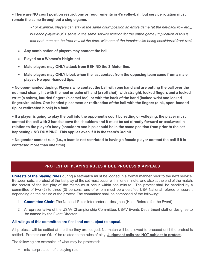• **There are NO court position restrictions or requirements in 4's volleyball, but service rotation must remain the same throughout a single game.** 

> *• For example, players can stay in the same court position an entire game (at the net/back row etc.), but each player MUST serve in the same service rotation for the entire game (implication of this is that both men can be front row all the time, with one of the females also being considered front row)*

- **Any combination of players may contact the ball.**
- **Played on a Women's Height net**
- **Male players may ONLY attack from BEHIND the 3-Meter line.**
- **Male players may ONLY block when the last contact from the opposing team came from a male player. No open-handed tips.**

• **No open-handed tipping: Players who contact the ball with one hand and are putting the ball over the net must cleanly hit with the heel or palm of hand (a roll shot), with straight, locked fingers and a locked wrist (a cobra), knurled fingers (a camel toe), or with the back of the hand (locked wrist and locked fingers/knuckles. One-handed placement or redirection of the ball with the fingers (dink, open-handed tip, or redirected block) is a fault.** 

• **If a player is going to play the ball into the opponent's court by setting or volleying, the player must contact the ball with 2 hands above the shoulders and it must be set directly forward or backward in relation to the player's body (shoulders and hips should be in the same position from prior to the set happening). NO DUMPING! This applies even if it is the team's 3rd hit.** 

• **No gender contact rule (i.e., a team is not restricted to having a female player contact the ball if it is contacted more than one time)** 

# **PROTEST OF PLAYING RULES & DUE PROCESS & APPEALS**

<span id="page-18-0"></span>**Protests of the playing rules** during a set/match must be lodged in a formal manner prior to the next service. Between sets, a protest of the last play of the set must occur within one minute, and also at the end of the match, the protest of the last play of the match must occur within one minute. The protest shall be handled by a committee of two (2) to three (3) persons, one of whom must be a certified USA National referee or scorer, depending on the nature of the protest. The committee shall be composed of the following:

- 1. **Committee Chair:** The National Rules Interpreter or designee (Head Referee for the Event)
- 2. A representative of the USAV Championship Committee, USAV Events Department staff or designee to be named by the Event Director.

#### **All rulings of this committee are final and not subject to appeal.**

All protests will be settled at the time they are lodged. No match will be allowed to proceed until the protest is settled. Protests can ONLY be related to the rules of play. **Judgment calls are NOT subject to protest.**

The following are examples of what may be protested:

• misinterpretation of a playing rule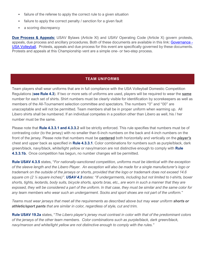- failure of the referee to apply the correct rule to a given situation
- failure to apply the correct penalty / sanction for a given fault
- a scoring discrepancy

**Due Process & Appeals:** USAV Bylaws (Article XI) and USAV Operating Code (Article X) govern protests, appeals, due process and ancillary procedures. Both of these documents are available in this link: [Governance -](https://usavolleyball.org/about/governance/) [USA Volleyball.](https://usavolleyball.org/about/governance/) Protests, appeals and due process for this event are specifically governed by these documents. Protests and appeals at this Championship vent are a simple one- or two-step process.

#### **TEAM UNIFORMS**

<span id="page-19-0"></span>Team players shall wear uniforms that are in full compliance with the USA Volleyball Domestic Competition Regulations (**see Rule 4.3**). If two or more sets of uniforms are used, players will be required to wear the **same** number for each set of shirts. Shirt numbers must be clearly visible for identification by scorekeepers as well as members of the All-Tournament selection committee and spectators. The numbers "0" and "00" are unacceptable and will not be permitted. Team members shall be in proper uniform when warming up. All Libero shirts shall be numbered. If an individual competes in a position other than Libero as well, his / her number must be the same.

Please note that **Rule 4.3.3.1 and 4.3.3.2** will be strictly enforced. This rule specifies that numbers must be of contrasting color (to the jersey) with no smaller than 6-inch numbers on the back and 4-inch numbers on the front of the jersey. Please note that numbers must be **centered** both horizontally and vertically on the *player's* chest and upper back as specified in **Rule 4.3.3.1**. Color combinations for numbers such as purple/black, dark green/black, navy/black, white/light yellow or navy/maroon are not distinctive enough to comply with **Rule 4.3.3.1b.** Once competition has begun, no number changes will be permitted.

**Rule USAV 4.3.5** states, "*For nationally-sanctioned competition, uniforms must be identical with the exception of the sleeve length and the Libero Player. An exception will also be made for a single manufacturer's logo or trademark on the outside of the jerseys or shorts, provided that the logo or trademark does not exceed 14.6 square cm (2 ¼ square inches)". USAV 4.3 states: "If undergarments, including but not limited to t-shirts, boxer shorts, tights, leotards, body suits, bicycle shorts, sports bras, etc., are worn in such a manner that they are exposed, they will be considered a part of the uniform. In that case, they must be similar and the same color for any team members who wear such an undergarment. Socks and sport shoes are not part of the uniform.*"

*Teams must wear jerseys that meet all the requirements as described above but may wear uniform shorts or athletic/sport pants that are similar in color, regardless of style, cut and trim.*

**Rule USAV 19.2a** states, "*The Libero player's jersey must contrast in color with that of the predominant colors of the jerseys of the other team members. Color combinations such as purple/black, dark green/black, navy/maroon and white/light yellow are not distinctive enough to comply with the rules."*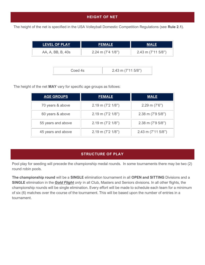# **HEIGHT OF NET**

<span id="page-20-0"></span>The height of the net is specified in the USA Volleyball Domestic Competition Regulations (see **Rule 2.1**).

| <b>FEMALE</b>                | <b>MALE</b>          |
|------------------------------|----------------------|
| 2.24 m $(7'4 \frac{1}{8}'')$ | $2.43$ m (7'11 5/8") |
|                              |                      |

|--|

The height of the net **MAY** vary for specific age groups as follows:

| <b>AGE GROUPS</b>  | <b>FEMALE</b>          | <b>MALE</b>            |
|--------------------|------------------------|------------------------|
| 70 years & above   | $2.19$ m (7'2 $1/8$ ") | $2.29$ m $(7'6'')$     |
| 60 years & above   | $2.19$ m (7'2 $1/8$ ") | $2.38$ m (7'9 $5/8$ ") |
| 55 years and above | $2.19$ m (7'2 $1/8$ ") | $2.38$ m (7'9 $5/8$ ") |
| 45 years and above | $2.19$ m (7'2 $1/8$ ") | $2.43$ m (7'11 5/8")   |

# **STRUCTURE OF PLAY**

<span id="page-20-1"></span>Pool play for seeding will precede the championship medal rounds. In some tournaments there may be two (2) round robin pools.

**The championship round** will be a **SINGLE** elimination tournament in all **OPEN and SITTING** Divisions and a **SINGLE** elimination in the *Gold Flight only* in all Club, Masters and Seniors divisions. In all other flights, the championship rounds will be single elimination. Every effort will be made to schedule each team for a minimum of six (6) matches over the course of the tournament. This will be based upon the number of entries in a tournament.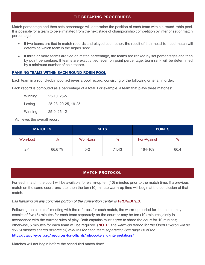## **TIE BREAKING PROCEDURES**

<span id="page-21-0"></span>Match percentage and then sets percentage will determine the position of each team within a round-robin pool. It is possible for a team to be eliminated from the next stage of championship competition by inferior set or match percentage.

- If two teams are tied in match records and played each other, the result of their head-to-head match will determine which team is the higher seed.
- If three or more teams are tied on match percentage, the teams are ranked by set percentages and then by point percentage. If teams are exactly tied, even on point percentage, team rank will be determined by a minimum number of coin tosses.

#### **RANKING TEAMS WITHIN EACH ROUND-ROBIN POOL**

Each team in a round-robin pool achieves a pool record, consisting of the following criteria, in order:

Each record is computed as a percentage of a total. For example, a team that plays three matches:

| Winning | 25-10, 25-5         |
|---------|---------------------|
| Losing  | 25-23, 20-25, 19-25 |
| Winning | 25-9, 25-12         |

Achieves the overall record:

| <b>MATCHES</b> |        | <b>SETS</b> |       | <b>POINTS</b> |      |
|----------------|--------|-------------|-------|---------------|------|
| Won-Lost       | %      | Won-Loss    | %     | For-Against   | %    |
| $2 - 1$        | 66.67% | $5 - 2$     | 71.43 | 164-109       | 60.4 |

#### **MATCH PROTOCOL**

<span id="page-21-1"></span>For each match, the court will be available for warm-up ten (10) minutes prior to the match time. If a previous match on the same court runs late, then the ten (10) minute warm-up time will begin at the conclusion of that match.

*Ball handling on any concrete portion of the convention center is PROHIBITED.*

Following the captains' meeting with the referees for each match, the warm-up period for the match may consist of five (5) minutes for each team separately on the court or may be ten (10) minutes jointly in accordance with the current rules of play. Both captains must agree to share the court for 10 minutes; otherwise, 5 minutes for each team will be required. (**NOTE:** *The warm-up period for the Open Division will be six (6) minutes shared or three (3) minutes for each team separately*. *See page 26 of the*  <https://usavolleyball.org/resources-for-officials/rulebooks-and-interpretations/>

Matches will not begin before the scheduled match time\*.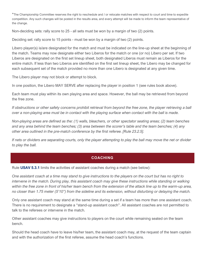\*The Championship Committee reserves the right to reschedule and / or relocate matches with respect to court and time to expedite competition. Any such changes will be posted in the results area, and every attempt will be made to inform the team representative of the change.

Non-deciding sets: rally score to 25 - all sets must be won by a margin of two (2) points.

Deciding set: rally score to 15 points - must be won by a margin of two (2) points.

Libero player(s) is/are designated for the match and must be indicated on the line-up sheet at the beginning of the match. Teams may now designate either two Liberos for the match or one (or no) Libero per set. If two Liberos are designated on the first set lineup sheet, both designated Liberos must remain as Liberos for the entire match. If less than two Liberos are identified on the first set lineup sheet, the Libero may be changed for each subsequent set of the match provided no more than one Libero is designated at any given time.

The Libero player may not block or attempt to block.

In one position, the Libero MAY SERVE after replacing the player in position 1 (see rules book above).

Each team must play within its own playing area and space. However, the ball may be retrieved from beyond the free zone.

If obstructions or other safety concerns prohibit retrieval from beyond the free zone, the player retrieving a ball *over a non-playing area must be in contact with the playing surface when contact with the ball is made.* 

*Non-playing areas are defined as the: (1) walls, bleachers, or other spectator seating areas; (2) team benches and any area behind the team benches; (3) area between the scorer's table and the team benches; (4) any other area outlined in the pre-match conference by the first referee. [Rule 23.2.5].* 

<span id="page-22-0"></span>*If nets or dividers are separating courts, only the player attempting to play the ball may move the net or divider to play the ball.*

#### **COACHING**

Rule **USAV 5.3.1** limits the activities of assistant coaches during a match (see below):

*One assistant coach at a time may stand to give instructions to the players on the court but has no right to intervene in the match. During play, this assistant coach may give these instructions while standing or walking* within the free zone in front of his/her team bench from the extension of the attack line up to the warm-up area, *no closer than 1.75 meter (5'10") from the sideline and its extension, without disturbing or delaying the match.*

Only one assistant coach may stand at the same time during a set if a team has more than one assistant coach. There is no requirement to designate a "stand-up assistant coach". All assistant coaches are not permitted to talk to the referees or intervene in the match.

Other assistant coaches may give instructions to players on the court while remaining seated on the team bench.

Should the head coach have to leave his/her team, the assistant coach may, at the request of the team captain and with the authorization of the first referee, assume the head coach's functions.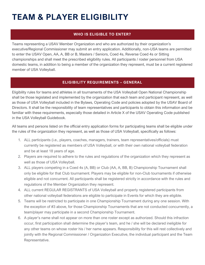# <span id="page-23-0"></span>**TEAM & PLAYER ELIGIBILITY**

# **WHO IS ELIGIBLE TO ENTER?**

<span id="page-23-1"></span>Teams representing a USAV Member Organization and who are authorized by their organization's executive/Regional Commissioner may submit an entry application. Additionally, non-USA teams are permitted to enter the USAV Open, AA, A, BB or B, Masters / Seniors, Coed 4s, Reverse Coed 4s or Sitting championships and shall meet the prescribed eligibility rules. All participants / roster personnel from USA domestic teams, in addition to being a member of the organization they represent, must be a current registered member of USA Volleyball.

# **ELIGIBILITY REQUIREMENTS – GENERAL**

<span id="page-23-2"></span>Eligibility rules for teams and athletes in all tournaments of the USA Volleyball Open National Championship shall be those legislated and implemented by the organization that each team and participant represent, as well as those of USA Volleyball included in the Bylaws, Operating Code and policies adopted by the USAV Board of Directors. It shall be the responsibility of team representatives and participants to obtain this information and be familiar with these requirements, especially those detailed in Article X of the USAV Operating Code published in the USA Volleyball Guidebook.

All teams and persons listed on the official entry application forms for participating teams shall be eligible under the rules of the organization they represent, as well as those of USA Volleyball, specifically as follows:

- 1. ALL participants (i.e., players, coaches, managers, trainers, team representatives/officials) must currently be registered as members of USA Volleyball, or with their own national volleyball federation and be at least 18 years of age.
- 2. Players are required to adhere to the rules and regulations of the organization which they represent as well as those of USA Volleyball.
- 3. ALL players competing in a Coed 4s (A, BB) or Club (AA, A, BB, B) Championship Tournament shall only be eligible for that Club tournament. Players may be eligible for non-Club tournaments if otherwise eligible and not concurrent. All participants shall be registered strictly in accordance with the rules and regulations of the Member Organization they represent.
- 4. ALL current REGULAR REGISTRANTS of USA Volleyball and properly registered participants from other national volleyball federations are eligible to participate in Events for which they are eligible.
- 5. Teams will be restricted to participate in one Championship Tournament during any one session. With the exception of #3 above, for those Championship Tournaments that are not conducted concurrently, a team/player may participate in a second Championship Tournament.
- 6. A player's name shall not appear on more than one roster except as authorized. Should this infraction occur, first participation shall determine the player's team, and he / she will be declared ineligible for any other teams on whose roster his / her name appears. Responsibility for this will rest collectively and jointly with the Regional Commissioner / Organization Executive, the individual participant and the Team Representative.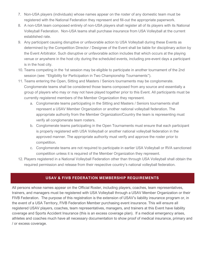- 7. Non-USA players (individuals) whose names appear on the roster of any domestic team must be registered with the National Federation they represent and fill-out the appropriate paperwork.
- 8. A non-USA team composed entirely of non-USA players shall register all of its players with its National Volleyball Federation. Non-USA teams shall purchase insurance from USA Volleyball at the current established rate.
- 9. Any participant causing disruptive or unfavorable action to USA Volleyball during these Events as determined by the Competition Director / Designee of the Event shall be liable for disciplinary action by the Event Arbitrator. Such disruptive or unfavorable action includes that which occurs at the playing venue or anywhere in the host city during the scheduled events, including pre-event days a participant is in the host city.
- 10. Teams competing in the 1st session may be eligible to participate in another tournament of the 2nd session (see: "Eligibility for Participation in Two Championship Tournaments").
- 11. Teams entering the Open, Sitting and Masters / Seniors tournaments may be conglomerate. Conglomerate teams shall be considered those teams composed from any source and essentially a group of players who may or may not have played together prior to this Event. All participants must be currently registered members of the Member Organization they represent.
	- a. Conglomerate teams participating in the Sitting and Masters / Seniors tournaments shall represent a USAV Member Organization or another national volleyball federation. The appropriate authority from the Member Organization/Country the team is representing must verify all conglomerate team rosters.
	- b. Conglomerate teams participating in the Open Tournaments must ensure that each participant is properly registered with USA Volleyball or another national volleyball federation in the approved manner. The appropriate authority must verify and approve the roster prior to competition.
	- c. Conglomerate teams are not required to participate in earlier USA Volleyball or RVA sanctioned competition unless it is required of the Member Organization they represent.
- 12. Players registered in a National Volleyball Federation other than through USA Volleyball shall obtain the required permission and release from their respective country's national volleyball federation.

# **USAV & FIVB FEDERATION MEMBERSHIP REQUIREMENTS**

<span id="page-24-0"></span>All persons whose names appear on the Official Roster, including players, coaches, team representatives, trainers, and managers must be registered with USA Volleyball through a USAV Member Organization or their FIVB Federation. The purpose of this registration is the extension of USAV's liability insurance program or, in the event of a USA Territory, FIVB Federation Member purchasing event insurance. This will ensure all registered USAV players, coaches, team representatives, managers, and trainers at this Event have liability coverage and Sports Accident Insurance (this is an excess coverage plan). If a medical emergency arises, athletes and coaches much have all necessary documentation to show proof of medical insurance, primary and / or excess coverage.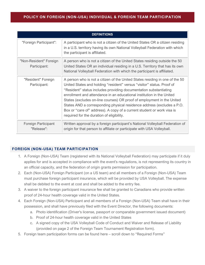### <span id="page-25-0"></span>**POLICY ON FOREIGN (NON-USA) INDIVIDUAL & FOREIGN TEAM PARTICIPATION**

| <b>DEFINITIONS</b>                     |                                                                                                                                                                                                                                                                                                                                                                                                                                                                                                                                                                                 |  |  |  |
|----------------------------------------|---------------------------------------------------------------------------------------------------------------------------------------------------------------------------------------------------------------------------------------------------------------------------------------------------------------------------------------------------------------------------------------------------------------------------------------------------------------------------------------------------------------------------------------------------------------------------------|--|--|--|
| "Foreign Participant":                 | A participant who is not a citizen of the United States OR a citizen residing<br>in a U.S. territory having its own National Volleyball Federation with which<br>the participant is affiliated.                                                                                                                                                                                                                                                                                                                                                                                 |  |  |  |
| "Non-Resident" Foreign<br>Participant: | A person who is not a citizen of the United States residing outside the 50<br>United States OR an individual residing in a U.S. Territory that has its own<br>National Volleyball Federation with which the participant is affiliated.                                                                                                                                                                                                                                                                                                                                          |  |  |  |
| "Resident" Foreign<br>Participant:     | A person who is not a citizen of the United States residing in one of the 50<br>United States and holding "resident" versus "visitor" status. Proof of<br>"Resident" status includes providing documentation substantiating<br>enrollment and attendance in an educational institution in the United<br>States (excludes on-line courses) OR proof of employment in the United<br>States AND a corresponding physical residence address (excludes a P.O.<br>Box or "care of" address). A copy of a current student or work visa is<br>required for the duration of eligibility. |  |  |  |
| Foreign Participant<br>"Release":      | Written approval by a foreign participant's National Volleyball Federation of<br>origin for that person to affiliate or participate with USA Volleyball.                                                                                                                                                                                                                                                                                                                                                                                                                        |  |  |  |

# <span id="page-25-1"></span>**FOREIGN (NON-USA) TEAM PARTICIPATION**

- 1. A Foreign (Non-USA) Team (registered with its National Volleyball Federation) may participate if it duly applies for and is accepted in compliance with the event's regulations, is not representing its country in an official capacity, and the federation of origin grants permission for participation.
- 2. Each (Non-USA) Foreign Participant (on a US team) and all members of a Foreign (Non-USA) Team must purchase foreign participant insurance, which will be provided by USA Volleyball. The expense shall be debited to the event at cost and shall be added to the entry fee.
- 3. A waiver to the foreign participant insurance fee shall be granted to Canadians who provide written proof of 24-hour health coverage valid in the United States.
- 4. Each Foreign (Non-USA) Participant and all members of a Foreign (Non-USA) Team shall have in their possession, and shall have previously filed with the Event Director, the following documents:
	- a. Photo identification (Driver's license, passport or comparable government issued document)
	- b. Proof of 24-hour health coverage valid in the United States
	- c. A signed copy of the USA Volleyball Code of Conduct and Waiver and Release of Liability (provided on page 2 of the Foreign Team Tournament Registration form).
- 5. Foreign team participation forms can be found here scroll down to "Required Forms"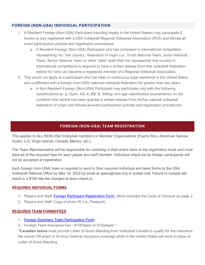### <span id="page-26-0"></span>**FOREIGN (NON-USA) INDIVIDUAL PARTICIPATION**

- 1. A Resident Foreign (Non-USA) Participant (residing legally in the United States) may participate if he/she is duly registered with a USA Volleyball Regional Volleyball Association (RVA) and follows all event participation policies and registration procedures.
	- a. A Resident Foreign (Non-USA) Participant who has competed in international competition representing his / her country / federation of origin (i.e., Youth National Team, Junior National Team, Senior National Team or other "elite" team that has represented that country in international competition) is required to have a written release from that volleyball federation before he / she can become a registered member of a Regional Volleyball Association.
- 2. This would not apply to a participant who has been in continuous legal residence in the United States and unaffiliated with a foreign (non-USA) national volleyball federation for greater than two years.
	- a. A Non-Resident Foreign (Non-USA) Participant may participate only with the following classifications (e. g. Open, AA, A, BB, B, Sitting, and age classification tournaments) on the condition that he/she has been granted a written release from his/her national volleyball federation of origin and follows all event participation policies and registration procedures.

# **FOREIGN (NON-USA) TEAM REGISTRATION**

<span id="page-26-1"></span>This applies to ALL NON-USA Volleyball members or Member Organizations (Puerto Rico, American Samoa, Guam, U.S. Virgin Islands, Canada, Mexico, etc.).

*The Team Representative will be responsible for checking in their entire team at the registration kiosk and must have all of the required fees for each player and staff member. Individual check-ins by foreign participants will not be accepted at registration.* 

Each foreign (non-USA) team is required to send in their required individual and team forms to the USA Volleyball National Office by May 16, 2022 by email at opens@usav.org or postal mail. Failure to comply will result in a \$100 late fee charged at team check-in.

#### **REQUIRED INDIVIDUAL FORMS**

- 1. Players and Staff: [Foreign Participant Registration Form,](https://usavolleyball.org/wp-content/uploads/2021/08/2022-Foreign-Participant-Registration-Form-updated-logo.pdf) which includes the Code of Conduct on page 2
- 2. Players and Staff: Copy of photo ID (i.e., Passport)

#### **REQUIRED TEAM FORMS/FEES**

- 1. [Foreign Summary Team Participation Form](https://usavolleyball.org/wp-content/uploads/2021/08/2022-Foreign-Summary-Form-Team-Participation-updated-logo.pdf)
- 2. Foreign Team Insurance Fee \$100/team or \$10/player \*

\***Canadian teams** must provide Letter of Good Standing from Volleyball Canada to qualify for the insurance fee waiver OR proof of 24-hour medical insurance coverage while in the United States will work in place of Letter of Good Standing.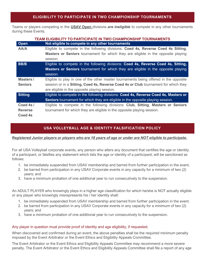### **ELIGIBILITY TO PARTICIPATE IN TWO CHAMPIONSHIP TOURNAMENTS**

<span id="page-27-0"></span>Teams or players competing in the **USAV Open** divisions *are ineligible* to compete in any other tournaments during these Events.

|                | TEAM ELIGIBILITY TO PARTICIPATE IN TWO CHAMPIONSHIP TOURNAMENTS                          |
|----------------|------------------------------------------------------------------------------------------|
| Open           | Not eligible to compete in any other tournaments                                         |
| AA/A           | Eligible to compete in the following divisions: Coed 4s, Reverse Coed 4s Sitting,        |
|                | <b>Masters or Seniors</b> tournament for which they are eligible in the opposite playing |
|                | session.                                                                                 |
| <b>BB/B</b>    | Eligible to compete in the following divisions: Coed 4s, Reverse Coed 4s, Sitting,       |
|                | <b>Masters or Seniors</b> tournament for which they are eligible in the opposite playing |
|                | session.                                                                                 |
| Masters/       | Eligible to play in one of the other master tournaments being offered in the opposite    |
| <b>Seniors</b> | session or in a Sitting, Coed 4s, Reverse Coed 4s or Club tournament for which they      |
|                | are eligible in the opposite playing session.                                            |
| <b>Sitting</b> | Eligible to compete in the following divisions: Coed 4s, Reverse Coed 4s, Masters or     |
|                | <b>Seniors</b> tournament for which they are eligible in the opposite playing session.   |
| Coed 4s /      | Eligible to compete in the following divisions: Club, Sitting, Masters or Seniors        |
| <b>Reverse</b> | tournament for which they are eligible in the opposite playing session.                  |
| Coed 4s        |                                                                                          |

# **USA VOLLEYBALL AGE & IDENTITY FALSIFICATION POLICY**

<span id="page-27-1"></span>*Registered Junior players or players who are 18 years of age or under are NOT eligible to participate.*

For all USA Volleyball corporate events, any person who alters any document that certifies the age or identity of a participant, or falsifies any statement which lists the age or identity of a participant, will be sanctioned as follows:

- 1. be immediately suspended from USAV membership and barred from further participation in the event.
- 2. be barred from participation in any USAV Corporate events in any capacity for a minimum of two (2) years; and
- 3. have a minimum probation of one additional year to run consecutively to the suspension.

An ADULT PLAYER who knowingly plays in a higher age classification for which he/she is NOT actually eligible or any player who knowingly misrepresents his / her identity shall:

- 1. be immediately suspended from USAV membership and barred from further participation in the event.
- 2. be barred from participation in any USAV Corporate events in any capacity for a minimum of two (2) years; and
- 3. have a minimum probation of one additional year to run consecutively to the suspension.

#### Any player in question must provide proof of identity and age eligibility, if requested.

When discovered and confirmed during an event, the above penalties shall be the required minimum penalty imposed by the Event Arbitrator or the Event Ethics and Eligibility Appeals Committee.

The Event Arbitrator or the Event Ethics and Eligibility Appeals Committee may recommend a more severe penalty. The Event Arbitrator or the Event Ethics and Eligibility Appeals Committee shall file a report of any age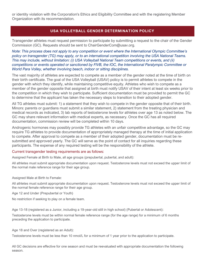<span id="page-28-0"></span>or identity violation with the Corporation's Ethics and Eligibility Committee and with the registering Member Organization with its recommendation.

# **USA VOLLEYBALL GENDER DETERMINATION POLICY**

Transgender athletes must request permission to participate by submitting a request to the chair of the Gender Commission (GC). Requests should be sent to ChairGenderCom@usav.org.

*Note: This process does not apply to any competition or event where the International Olympic Committee's policy on transgender (TG) may apply, or to an international competition involving the USA National Teams. This may include, without limitation: (i) USA Volleyball National Team competitions or events, and (ii) competitions or events operated or sanctioned by FIVB, the IOC, the International Paralympic Committee or World Para Volley, whether involving beach, indoor or sitting disciplines.*

The vast majority of athletes are expected to compete as a member of the gender noted at the time of birth on their birth certificate. The goal of the USA Volleyball (USAV) policy is to permit athletes to compete in the gender with which they identify, while maintaining competitive equity. Athletes who wish to compete as a member of the gender opposite that assigned at birth must notify USAV of their intent at least six weeks prior to the competition in which they wish to participate. Sufficient documentation must be provided to permit the GC to determine that the applicant has taken the necessary steps to transition to their adopted gender.

All TG athletes must submit: 1) a statement that they wish to compete in the gender opposite that of their birth. Minors: parents or guardians must submit a similar statement, 2) statement from the treating physician and medical records as indicated, 3) lab reports of testosterone levels for athletes over age 13 as noted below. The GC may share relevant information with medical experts, as necessary. Once the GC has all required documentation, commission review will be completed within 10 days.

Androgenic hormones may possibly provide TG athletes with an unfair competitive advantage, so the GC may require TG athletes to provide documentation of appropriately managed therapy at the time of initial application to compete. After approval to compete as a member of their adopted gender, documentation must be resubmitted and approved yearly. The GC will serve as the point of contact for all inquiries regarding these participants. The expense of any required testing will be the responsibility of the athlete.

#### Current transgender testing requirements are as follows:

Assigned Female at Birth to Male, all age groups (prepubertal, pubertal, and adult):

All athletes must submit appropriate documentation upon request. Testosterone levels must not exceed the upper limit of the normal male reference range for their age group.

#### Assigned Male at Birth to Female:

All athletes must submit appropriate documentation upon request. Testosterone levels must not exceed the upper limit of the normal female reference range for their age group.

Age 12 and Under (Prepubertal or Youth)

No restriction if seeking to play on a female team.

Age 13-18 (registered as a Junior, including a 19-year-old still in high school) (Pubertal or Adolescent):

Testosterone levels must be within normal female reference range (for the age range) for a minimum of 6 months preceding the application to participate.

Age 18 and Over (registered as an Adult):

Testosterone levels must be less than 10 nmol/L for a minimum of 1 year prior to the application to participate.

All GC decisions are effective for one season and must be reevaluated with appropriate documentation the following season.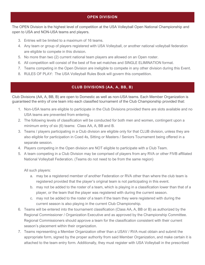# **OPEN DIVISION**

<span id="page-29-0"></span>The OPEN Division is the highest level of competition at the USA Volleyball Open National Championship and open to USA and NON-USA teams and players.

- 3. Entries will be limited to a maximum of 16 teams.
- 4. Any team or group of players registered with USA Volleyball, or another national volleyball federation are eligible to compete in this division.
- 5. No more than two (2) current national team players are allowed on an Open roster.
- 6. All competition will consist of the best of five set matches and SINGLE ELIMINATION format.
- 7. Teams competing in the Open Division are ineligible to compete in any other division during this Event.
- <span id="page-29-1"></span>8. RULES OF PLAY: The USA Volleyball Rules Book will govern this competition.

# **CLUB DIVISIONS (AA, A, BB, B)**

Club Divisions (AA, A, BB, B) are open to Domestic as well as non-USA teams. Each Member Organization is guaranteed the entry of one team into each classified tournament of the Club Championship provided that:

- 1. Non-USA teams are eligible to participate in the Club Divisions provided there are slots available and no USA teams are prevented from entering.
- 2. The following levels of classification will be conducted for both men and women, contingent upon a minimum entry of six (6) teams: Class AA, A, BB and B.
- 3. Teams / players participating in a Club division are eligible only for that CLUB division, unless they are also eligible for participation in Coed 4s, Sitting or Masters / Seniors Tournament being offered in a separate session.
- 4. Players competing in the Open division are NOT eligible to participate with a Club Team.
- 5. A team competing in a Club Division may be comprised of players from any RVA or other FIVB affiliated National Volleyball Federation. (Teams do not need to be from the same region)

All such players:

- a. may be a registered member of another Federation or RVA other than where the club team is registered provided that the player's original team is not participating in this event.
- b. may not be added to the roster of a team, which is playing in a classification lower than that of a player, or the team that the player was registered with during the current season.
- c. may not be added to the roster of a team if the team they were registered with during the current season is also playing in the current Club Championship.
- 6. Teams will be entered into the tournament classification (Class AA, A, BB or B) as authorized by the Regional Commissioner / Organization Executive and as approved by the Championship Committee. Regional Commissioners should approve a team for the classification consistent with their current season's placement within their organization.
- 7. Teams representing a Member Organization other than a USAV / RVA must obtain and submit the appropriate form, signed by the proper authority from said Member Organization, and make certain it is attached to the team entry form. Additionally, they must register with USA Volleyball in the prescribed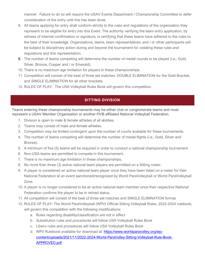manner. Failure to do so will require the USAV Events Department / Championship Committee to defer consideration of the entry until this has been done.

- 8. All teams applying for entry shall conform strictly to the rules and regulations of the organization they represent to be eligible for entry into this Event. The authority verifying the team entry application, by witness of internet confirmation or signature, is certifying that these teams have adhered to the rules to the best of their knowledge. Organizations, teams, team representatives, and / or other participants will be subject to disciplinary action during and beyond the tournament for violating these rules and regulations and this representation.
- 9. The number of teams competing will determine the number of medal rounds to be played (i.e., Gold, Silver, Bronze, Copper and / or Emerald).
- 10. There is no maximum age limitation for players in these championships.
- 11. Competition will consist of the best of three set matches. DOUBLE ELIMINATION for the Gold Bracket, and SINGLE ELIMINATION for all other brackets.
- <span id="page-30-0"></span>12. RULES OF PLAY: The USA Volleyball Rules Book will govern this competition.

# **SITTING DIVISION**

Teams entering these championship tournaments may be either club or conglomerate teams and must represent a USAV Member Organization or another FIVB affiliated National Volleyball Federation.

- 1. Division is open to male & female athletes of all abilities.
- 2. Teams may consist of male and female athletes.
- 3. Competition may be limited contingent upon the number of courts available for these tournaments.
- 4. The number of teams competing will determine the number of medal flights (i.e., Gold, Silver and Bronze).
- 5. A minimum of five (5) teams will be required in order to conduct a national championship tournament.
- 6. Non-USA teams are permitted to compete in this tournament.
- 7. There is no maximum age limitation in these championships.
- 8. No more than three (3) active national team players are permitted on a Sitting roster.
- 9. A player is considered an active national team player once they have been listed on a roster for their National Federation at an event sanctioned/recognized by World ParaVolleyball or World ParaVolleyball Zone.
- 10. A player is no longer considered to be an active national team member once their respective National Federation confirms the player to be in retired status.
- 11. All competition will consist of the best of three set matches and SINGLE ELIMINATION format.
- 12. RULES OF PLAY: The World ParaVolleyball (WPV) Official Sitting Volleyball Rules, 2022-2024 rulebook, will govern this competition with the following modifications:
	- a. Rules regarding disability/classification are not in effect
	- b. Substitution rules and procedures will follow USA Volleyball Rules Book
	- c. Libero rules and procedures will follow USA Volleyball Rules Book
	- d. WPV Rulebook available for download at: [https://www.worldparavolley.org/wp](https://www.worldparavolley.org/wp-content/uploads/2021/11/2022-2024-World-ParaVolley-Sitting-Volleyball-Rule-Book-APPROVED.pdf)[content/uploads/2021/11/2022-2024-World-ParaVolley-Sitting-Volleyball-Rule-Book-](https://www.worldparavolley.org/wp-content/uploads/2021/11/2022-2024-World-ParaVolley-Sitting-Volleyball-Rule-Book-APPROVED.pdf)[APPROVED.pdf](https://www.worldparavolley.org/wp-content/uploads/2021/11/2022-2024-World-ParaVolley-Sitting-Volleyball-Rule-Book-APPROVED.pdf)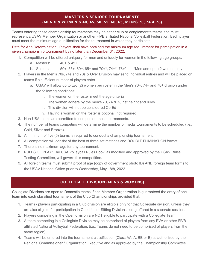# **MASTERS & SENIORS TOURNAMENTS (MEN'S & WOMEN'S 40, 45, 50, 55, 60, 65, MEN'S 70, 74 & 78)**

<span id="page-31-0"></span>Teams entering these championship tournaments may be either club or conglomerate teams and must represent a USAV Member Organization or another FIVB affiliated National Volleyball Federation. Each player must meet the minimum age qualification for the tournament in which they participate.

Date for Age Determination: Players shall have obtained the minimum age requirement for participation in a given championship tournament by no later than December 31, 2022.

- 1. Competition will be offered uniquely for men and uniquely for women in the following age groups:
	- a. Masters: 40+ & 45+
	- b. Seniors: 50+, 55+, 60+, 65+ and 70+\*, 74+\*, 78+\* \*Men and up to 2 women only
- 2. Players in the Men's 70s, 74s and 78s & Over Division may send individual entries and will be placed on teams if a sufficient number of players enter.
	- a. USAV will allow up to two (2) women per roster in the Men's 70+, 74+ and 78+ division under the following conditions:
		- i. The women on the roster meet the age criteria
		- ii. The women adhere by the men's 70, 74 & 78 net height and rules
		- iii. This division will not be considered Co-Ed
		- iv. Having a woman on the roster is optional, not required
- 3. Non-USA teams are permitted to compete in these tournaments.
- 4. The number of teams competing will determine the number of medal tournaments to be scheduled (i.e., Gold, Silver and Bronze).
- 5. A minimum of five (5) teams is required to conduct a championship tournament.
- 6. All competition will consist of the best of three set matches and DOUBLE ELIMINATION format.
- 7. There is no maximum age for any tournament.
- 8. RULES OF PLAY: The USA Volleyball Rules Book, as modified and approved by the USAV Rules Testing Committee, will govern this competition.
- 9. All foreign teams must submit proof of age (copy of government photo ID) AND foreign team forms to the USAV National Office prior to Wednesday, May 18th, 2022.

#### **COLLEGIATE DIVISION (MENS & WOMENS)**

<span id="page-31-1"></span>Collegiate Divisions are open to Domestic teams. Each Member Organization is guaranteed the entry of one team into each classified tournament of the Club Championships provided that:

- 1. Teams / players participating in a Club division are eligible only for that Collegiate division, unless they are also eligible for participation in Coed 4s, or Sitting Divisions being offered in a separate session.
- 2. Players competing in the Open division are NOT eligible to participate with a Collegiate Team.
- 3. A team competing in a Collegiate Division may be comprised of players from any RVA or other FIVB affiliated National Volleyball Federation. (i.e., Teams do not need to be comprised of players from the same region).
- 4. Teams will be entered into the tournament classification (Class AA, A, BB or B) as authorized by the Regional Commissioner / Organization Executive and as approved by the Championship Committee.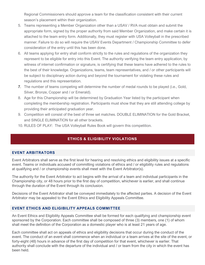Regional Commissioners should approve a team for the classification consistent with their current season's placement within their organization.

- 5. Teams representing a Member Organization other than a USAV / RVA must obtain and submit the appropriate form, signed by the proper authority from said Member Organization, and make certain it is attached to the team entry form. Additionally, they must register with USA Volleyball in the prescribed manner. Failure to do so will require the USAV Events Department / Championship Committee to defer consideration of the entry until this has been done.
- 6. All teams applying for entry shall conform strictly to the rules and regulations of the organization they represent to be eligible for entry into this Event. The authority verifying the team entry application, by witness of internet confirmation or signature, is certifying that these teams have adhered to the rules to the best of their knowledge. Organizations, teams, team representatives, and / or other participants will be subject to disciplinary action during and beyond the tournament for violating these rules and regulations and this representation.
- 7. The number of teams competing will determine the number of medal rounds to be played (i.e., Gold, Silver, Bronze, Copper and / or Emerald).
- 8. Age for this Championship will be determined by Graduation Year listed by the participant when completing the membership registration. Participants must show that they are still attending college by providing their anticipated graduation year.
- 9. Competition will consist of the best of three set matches. DOUBLE ELIMINATION for the Gold Bracket, and SINGLE ELIMINATION for all other brackets.
- <span id="page-32-0"></span>10. RULES OF PLAY: The USA Volleyball Rules Book will govern this competition.

# **ETHICS & ELIGIBILITY VIOLATIONS**

#### <span id="page-32-1"></span>**EVENT ARBITRATORS**

Event Arbitrators shall serve as the first level for hearing and resolving ethics and eligibility issues at a specific event. Teams or individuals accused of committing violations of ethics and / or eligibility rules and regulations at qualifying and / or championship events shall meet with the Event Arbitrator(s).

The authority for the Event Arbitrator to act begins with the arrival of a team and individual participants in the Championship city, or 48 hours prior to the first day of competition, whichever is earlier, and shall continue through the duration of the Event through its conclusion.

Decisions of the Event Arbitrator shall be conveyed immediately to the affected parties. A decision of the Event Arbitrator may be appealed to the Event Ethics and Eligibility Appeals Committee.

#### <span id="page-32-2"></span>**EVENT ETHICS AND ELIGIBILITY APPEALS COMMITTEE**

An Event Ethics and Eligibility Appeals Committee shall be formed for each qualifying and championship event sponsored by the Corporation. Each committee shall be composed of three (3) members, one (1) of whom shall meet the definition of the Corporation as a domestic player who is at least 21 years of age.

Each committee shall act on appeals of ethics and eligibility decisions that occur during the conduct of the event. The conduct of an event shall commence when an individual or a team arrives at the site of the event, or forty-eight (48) hours in advance of the first day of competition for that event, whichever is earlier. That authority shall conclude with the departure of the individual and / or team from the city in which the event has been held.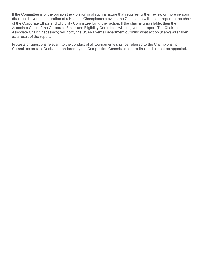If the Committee is of the opinion the violation is of such a nature that requires further review or more serious discipline beyond the duration of a National Championship event, the Committee will send a report to the chair of the Corporate Ethics and Eligibility Committee for further action. If the chair is unavailable, then the Associate Chair of the Corporate Ethics and Eligibility Committee will be given the report. The Chair (or Associate Chair if necessary) will notify the USAV Events Department outlining what action (if any) was taken as a result of the report.

Protests or questions relevant to the conduct of all tournaments shall be referred to the Championship Committee on site. Decisions rendered by the Competition Commissioner are final and cannot be appealed.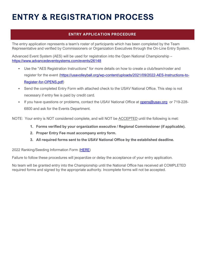# <span id="page-34-0"></span>**ENTRY & REGISTRATION PROCESS**

# **ENTRY APPLICATION PROCEDURE**

<span id="page-34-1"></span>The entry application represents a team's roster of participants which has been completed by the Team Representative and verified by Commissioners or Organization Executives through the On-Line Entry System.

Advanced Event System (AES) will be used for registration into the Open National Championship – <https://www.advancedeventsystems.com/events/26148>

- Use the "AES Registration Instructions" for more details on how to create a club/team/roster and register for the event [\(https://usavolleyball.org/wp-content/uploads/2021/09/2022-AES-Instructions-to-](https://usavolleyball.org/wp-content/uploads/2021/09/2022-AES-Instructions-to-Register-for-OPENS.pdf)[Register-for-OPENS.pdf\)](https://usavolleyball.org/wp-content/uploads/2021/09/2022-AES-Instructions-to-Register-for-OPENS.pdf)
- Send the completed Entry Form with attached check to the USAV National Office. This step is not necessary if entry fee is paid by credit card.
- If you have questions or problems, contact the USAV National Office at opens@usay.org or 719-228-6800 and ask for the Events Department.

NOTE: Your entry is NOT considered complete, and will NOT be ACCEPTED until the following is met:

- **1. Forms verified by your organization executive / Regional Commissioner (if applicable).**
- **2. Proper Entry Fee must accompany entry form.**
- **3. All required forms sent to the USAV National Office by the established deadline.**

#### 2022 Ranking/Seeding Information Form [\(HERE\)](https://forms.office.com/r/CsN7LJLcth)

Failure to follow these procedures will jeopardize or delay the acceptance of your entry application.

No team will be granted entry into the Championship until the National Office has received all COMPLETED required forms and signed by the appropriate authority. Incomplete forms will not be accepted.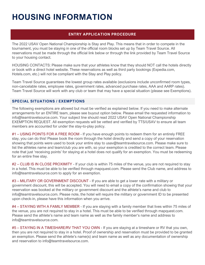# <span id="page-35-0"></span>**HOUSING INFORMATION**

# **ENTRY APPLICATION PROCEDURE**

<span id="page-35-1"></span>The 2022 USAV Open National Championship is Stay and Play. This means that in order to compete in the tournament, you must be staying in one of the official room blocks set up by Team Travel Source. All reservations must be made through the official link below or through the link provided by Team Travel Source to your housing contact.

HOUSING CONTACTS: Please make sure that your athletes know that they should NOT call the hotels directly or book with a direct hotel website. These reservations as well as third party bookings (Expedia.com, Hotels.com, etc.) will not be compliant with the Stay and Play policy.

Team Travel Source guarantees the lowest group rates available (exclusions include unconfirmed room types, non-cancelable rates, employee rates, government rates, advanced purchase rates, AAA and AARP rates). Team Travel Source will work with any club or team that may have a special situation (please see Exemptions).

#### <span id="page-35-2"></span>**SPECIAL SITUATIONS / EXEMPTIONS**

The following exemptions are allowed but must be verified as explained below. If you need to make alternate arrangements for an ENTIRE team, please see buyout option below. Please email the requested information to info@teamtravelsource.com. Your subject line should read 2022 USAV Open National Championship EXEMPTION REQUEST. All exemption requests will be vetted and verified by TTS/USAV to ensure all team members are accounted for under the stay-to-play policy.

#1 – USING POINTS FOR A FREE ROOM - If you have enough points to redeem them for an entirely FREE stay, you can do this! Please book the room through the hotel directly and send a copy of your reservation showing that points were used to book your entire stay to usav@teamtravelsource.com. Please make sure to list the athletes name and team/club you are with, so your exemption is credited to the correct team. Please note that just 'receiving points' for staying at a hotel does not qualify for an exemption. You must be redeeming for an entire free stay.

#2 - CLUB IS IN CLOSE PROXIMITY - If your club is within 75 miles of the venue, you are not required to stay in a hotel. This must be able to be verified through mapquest.com. Please send the Club name, and address to info@teamtravelsource.com to apply for an exemption.

#3 – MILITARY OR GOVERNMENT DISCOUNT - If you are able to get a lower rate with a military or government discount, this will be accepted. You will need to email a copy of the confirmation showing that your reservation was booked at the military or government discount and the athlete's name and club to info@teamtravelsource.com. Please note, the hotel will require the military or government ID to be presented upon check-in, please have this information when you arrive.

#4 – STAYING WITH A FAMILY MEMBER - If you are staying with a family member that lives within 75 miles of the venue, you are not required to stay in a hotel. This must be able to be verified through mapquest.com. Please send the athlete's name and team name as well as the family member's name and address to info@teamtravelsource.com.

#5 – STAYING IN A TIMESHARE/RV THAT YOU OWN - If you are staying at a timeshare or RV that you own, then you are not required to stay in a hotel. Proof of ownership and reservation must be provided to be granted an exemption. Please send the athlete's name(s) and team name as well as any documentation of ownership and reservation to info@teamtravelsource.com.